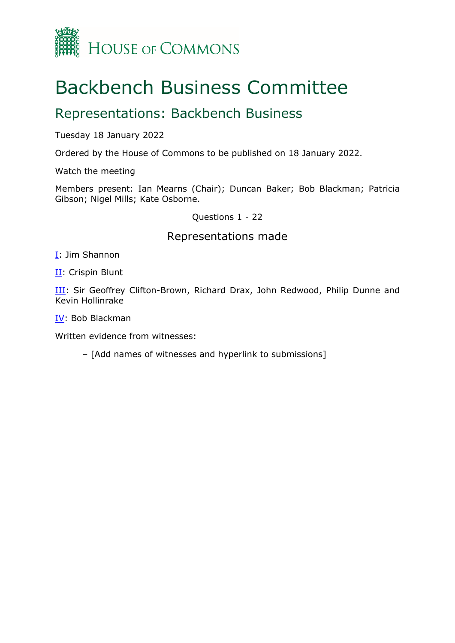

## Backbench Business Committee

## Representations: Backbench Business

Tuesday 18 January 2022

Ordered by the House of Commons to be published on 18 January 2022.

Watch the meeting

Members present: Ian Mearns (Chair); Duncan Baker; Bob Blackman; Patricia Gibson; Nigel Mills; Kate Osborne.

Questions 1 - 22

## Representations made

[I:](#page-1-0) Jim Shannon

[II](#page-2-0) Crispin Blunt

[III:](#page-4-0) Sir Geoffrey Clifton-Brown, Richard Drax, John Redwood, Philip Dunne and Kevin Hollinrake

[IV](#page-8-0): Bob Blackman

Written evidence from witnesses:

– [Add names of witnesses and hyperlink to submissions]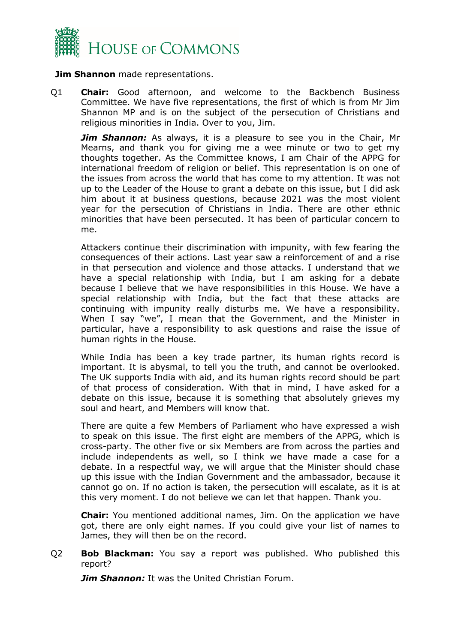

<span id="page-1-0"></span>**Jim Shannon** made representations.

Q1 **Chair:** Good afternoon, and welcome to the Backbench Business Committee. We have five representations, the first of which is from Mr Jim Shannon MP and is on the subject of the persecution of Christians and religious minorities in India. Over to you, Jim.

*Jim Shannon:* As always, it is a pleasure to see you in the Chair, Mr Mearns, and thank you for giving me a wee minute or two to get my thoughts together. As the Committee knows, I am Chair of the APPG for international freedom of religion or belief. This representation is on one of the issues from across the world that has come to my attention. It was not up to the Leader of the House to grant a debate on this issue, but I did ask him about it at business questions, because 2021 was the most violent year for the persecution of Christians in India. There are other ethnic minorities that have been persecuted. It has been of particular concern to me.

Attackers continue their discrimination with impunity, with few fearing the consequences of their actions. Last year saw a reinforcement of and a rise in that persecution and violence and those attacks. I understand that we have a special relationship with India, but I am asking for a debate because I believe that we have responsibilities in this House. We have a special relationship with India, but the fact that these attacks are continuing with impunity really disturbs me. We have a responsibility. When I say "we", I mean that the Government, and the Minister in particular, have a responsibility to ask questions and raise the issue of human rights in the House.

While India has been a key trade partner, its human rights record is important. It is abysmal, to tell you the truth, and cannot be overlooked. The UK supports India with aid, and its human rights record should be part of that process of consideration. With that in mind, I have asked for a debate on this issue, because it is something that absolutely grieves my soul and heart, and Members will know that.

There are quite a few Members of Parliament who have expressed a wish to speak on this issue. The first eight are members of the APPG, which is cross-party. The other five or six Members are from across the parties and include independents as well, so I think we have made a case for a debate. In a respectful way, we will argue that the Minister should chase up this issue with the Indian Government and the ambassador, because it cannot go on. If no action is taken, the persecution will escalate, as it is at this very moment. I do not believe we can let that happen. Thank you.

**Chair:** You mentioned additional names, Jim. On the application we have got, there are only eight names. If you could give your list of names to James, they will then be on the record.

Q2 **Bob Blackman:** You say a report was published. Who published this report?

*Jim Shannon:* It was the United Christian Forum.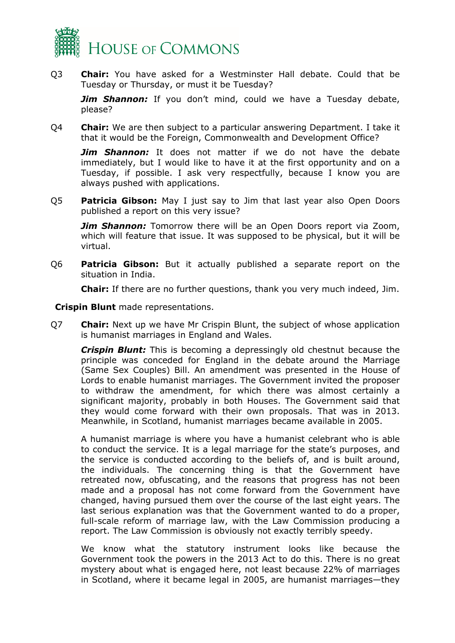

Q3 **Chair:** You have asked for a Westminster Hall debate. Could that be Tuesday or Thursday, or must it be Tuesday?

**Jim Shannon:** If you don't mind, could we have a Tuesday debate, please?

Q4 **Chair:** We are then subject to a particular answering Department. I take it that it would be the Foreign, Commonwealth and Development Office?

*Jim Shannon:* It does not matter if we do not have the debate immediately, but I would like to have it at the first opportunity and on a Tuesday, if possible. I ask very respectfully, because I know you are always pushed with applications.

Q5 **Patricia Gibson:** May I just say to Jim that last year also Open Doors published a report on this very issue?

*Jim Shannon:* Tomorrow there will be an Open Doors report via Zoom, which will feature that issue. It was supposed to be physical, but it will be virtual.

Q6 **Patricia Gibson:** But it actually published a separate report on the situation in India.

**Chair:** If there are no further questions, thank you very much indeed, Jim.

<span id="page-2-0"></span>**Crispin Blunt** made representations.

Q7 **Chair:** Next up we have Mr Crispin Blunt, the subject of whose application is humanist marriages in England and Wales.

*Crispin Blunt:* This is becoming a depressingly old chestnut because the principle was conceded for England in the debate around the Marriage (Same Sex Couples) Bill. An amendment was presented in the House of Lords to enable humanist marriages. The Government invited the proposer to withdraw the amendment, for which there was almost certainly a significant majority, probably in both Houses. The Government said that they would come forward with their own proposals. That was in 2013. Meanwhile, in Scotland, humanist marriages became available in 2005.

A humanist marriage is where you have a humanist celebrant who is able to conduct the service. It is a legal marriage for the state's purposes, and the service is conducted according to the beliefs of, and is built around, the individuals. The concerning thing is that the Government have retreated now, obfuscating, and the reasons that progress has not been made and a proposal has not come forward from the Government have changed, having pursued them over the course of the last eight years. The last serious explanation was that the Government wanted to do a proper, full-scale reform of marriage law, with the Law Commission producing a report. The Law Commission is obviously not exactly terribly speedy.

We know what the statutory instrument looks like because the Government took the powers in the 2013 Act to do this. There is no great mystery about what is engaged here, not least because 22% of marriages in Scotland, where it became legal in 2005, are humanist marriages—they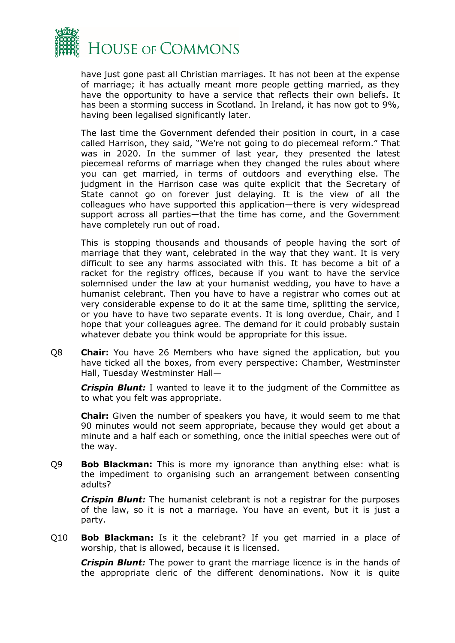

have just gone past all Christian marriages. It has not been at the expense of marriage; it has actually meant more people getting married, as they have the opportunity to have a service that reflects their own beliefs. It has been a storming success in Scotland. In Ireland, it has now got to 9%, having been legalised significantly later.

The last time the Government defended their position in court, in a case called Harrison, they said, "We're not going to do piecemeal reform." That was in 2020. In the summer of last year, they presented the latest piecemeal reforms of marriage when they changed the rules about where you can get married, in terms of outdoors and everything else. The judgment in the Harrison case was quite explicit that the Secretary of State cannot go on forever just delaying. It is the view of all the colleagues who have supported this application—there is very widespread support across all parties—that the time has come, and the Government have completely run out of road.

This is stopping thousands and thousands of people having the sort of marriage that they want, celebrated in the way that they want. It is very difficult to see any harms associated with this. It has become a bit of a racket for the registry offices, because if you want to have the service solemnised under the law at your humanist wedding, you have to have a humanist celebrant. Then you have to have a registrar who comes out at very considerable expense to do it at the same time, splitting the service, or you have to have two separate events. It is long overdue, Chair, and I hope that your colleagues agree. The demand for it could probably sustain whatever debate you think would be appropriate for this issue.

Q8 **Chair:** You have 26 Members who have signed the application, but you have ticked all the boxes, from every perspective: Chamber, Westminster Hall, Tuesday Westminster Hall—

*Crispin Blunt:* I wanted to leave it to the judgment of the Committee as to what you felt was appropriate.

**Chair:** Given the number of speakers you have, it would seem to me that 90 minutes would not seem appropriate, because they would get about a minute and a half each or something, once the initial speeches were out of the way.

Q9 **Bob Blackman:** This is more my ignorance than anything else: what is the impediment to organising such an arrangement between consenting adults?

*Crispin Blunt:* The humanist celebrant is not a registrar for the purposes of the law, so it is not a marriage. You have an event, but it is just a party.

Q10 **Bob Blackman:** Is it the celebrant? If you get married in a place of worship, that is allowed, because it is licensed.

*Crispin Blunt:* The power to grant the marriage licence is in the hands of the appropriate cleric of the different denominations. Now it is quite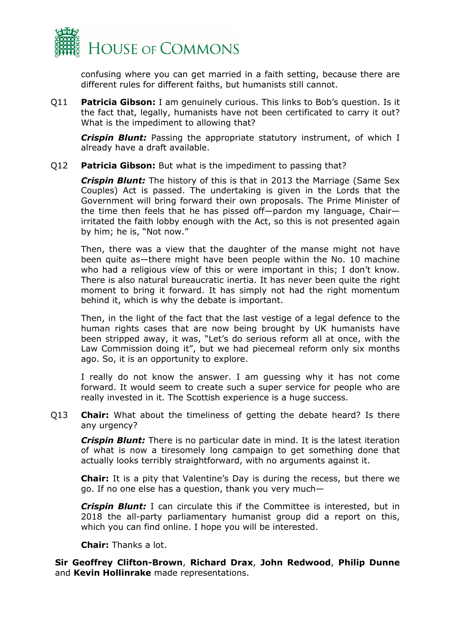

confusing where you can get married in a faith setting, because there are different rules for different faiths, but humanists still cannot.

Q11 **Patricia Gibson:** I am genuinely curious. This links to Bob's question. Is it the fact that, legally, humanists have not been certificated to carry it out? What is the impediment to allowing that?

*Crispin Blunt:* Passing the appropriate statutory instrument, of which I already have a draft available.

## Q12 **Patricia Gibson:** But what is the impediment to passing that?

*Crispin Blunt:* The history of this is that in 2013 the Marriage (Same Sex Couples) Act is passed. The undertaking is given in the Lords that the Government will bring forward their own proposals. The Prime Minister of the time then feels that he has pissed off—pardon my language, Chair irritated the faith lobby enough with the Act, so this is not presented again by him; he is, "Not now."

Then, there was a view that the daughter of the manse might not have been quite as—there might have been people within the No. 10 machine who had a religious view of this or were important in this; I don't know. There is also natural bureaucratic inertia. It has never been quite the right moment to bring it forward. It has simply not had the right momentum behind it, which is why the debate is important.

Then, in the light of the fact that the last vestige of a legal defence to the human rights cases that are now being brought by UK humanists have been stripped away, it was, "Let's do serious reform all at once, with the Law Commission doing it", but we had piecemeal reform only six months ago. So, it is an opportunity to explore.

I really do not know the answer. I am guessing why it has not come forward. It would seem to create such a super service for people who are really invested in it. The Scottish experience is a huge success.

Q13 **Chair:** What about the timeliness of getting the debate heard? Is there any urgency?

*Crispin Blunt:* There is no particular date in mind. It is the latest iteration of what is now a tiresomely long campaign to get something done that actually looks terribly straightforward, with no arguments against it.

**Chair:** It is a pity that Valentine's Day is during the recess, but there we go. If no one else has a question, thank you very much—

*Crispin Blunt:* I can circulate this if the Committee is interested, but in 2018 the all-party parliamentary humanist group did a report on this, which you can find online. I hope you will be interested.

**Chair:** Thanks a lot.

<span id="page-4-0"></span>**Sir Geoffrey Clifton-Brown**, **Richard Drax**, **John Redwood**, **Philip Dunne** and **Kevin Hollinrake** made representations.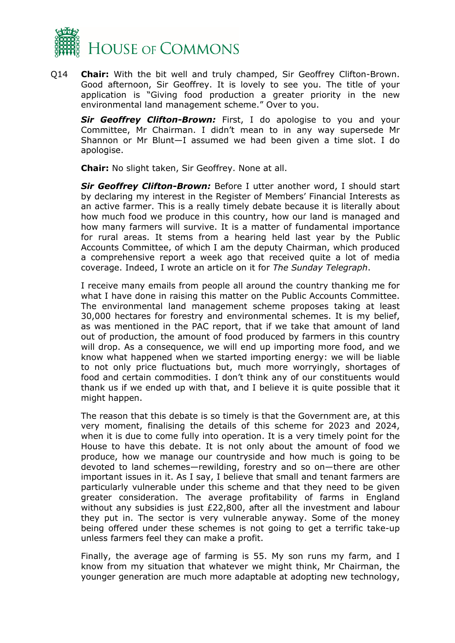

Q14 **Chair:** With the bit well and truly champed, Sir Geoffrey Clifton-Brown. Good afternoon, Sir Geoffrey. It is lovely to see you. The title of your application is "Giving food production a greater priority in the new environmental land management scheme." Over to you.

*Sir Geoffrey Clifton-Brown:* First, I do apologise to you and your Committee, Mr Chairman. I didn't mean to in any way supersede Mr Shannon or Mr Blunt—I assumed we had been given a time slot. I do apologise.

**Chair:** No slight taken, Sir Geoffrey. None at all.

*Sir Geoffrey Clifton-Brown:* Before I utter another word, I should start by declaring my interest in the Register of Members' Financial Interests as an active farmer. This is a really timely debate because it is literally about how much food we produce in this country, how our land is managed and how many farmers will survive. It is a matter of fundamental importance for rural areas. It stems from a hearing held last year by the Public Accounts Committee, of which I am the deputy Chairman, which produced a comprehensive report a week ago that received quite a lot of media coverage. Indeed, I wrote an article on it for *The Sunday Telegraph*.

I receive many emails from people all around the country thanking me for what I have done in raising this matter on the Public Accounts Committee. The environmental land management scheme proposes taking at least 30,000 hectares for forestry and environmental schemes. It is my belief, as was mentioned in the PAC report, that if we take that amount of land out of production, the amount of food produced by farmers in this country will drop. As a consequence, we will end up importing more food, and we know what happened when we started importing energy: we will be liable to not only price fluctuations but, much more worryingly, shortages of food and certain commodities. I don't think any of our constituents would thank us if we ended up with that, and I believe it is quite possible that it might happen.

The reason that this debate is so timely is that the Government are, at this very moment, finalising the details of this scheme for 2023 and 2024, when it is due to come fully into operation. It is a very timely point for the House to have this debate. It is not only about the amount of food we produce, how we manage our countryside and how much is going to be devoted to land schemes—rewilding, forestry and so on—there are other important issues in it. As I say, I believe that small and tenant farmers are particularly vulnerable under this scheme and that they need to be given greater consideration. The average profitability of farms in England without any subsidies is just £22,800, after all the investment and labour they put in. The sector is very vulnerable anyway. Some of the money being offered under these schemes is not going to get a terrific take-up unless farmers feel they can make a profit.

Finally, the average age of farming is 55. My son runs my farm, and I know from my situation that whatever we might think, Mr Chairman, the younger generation are much more adaptable at adopting new technology,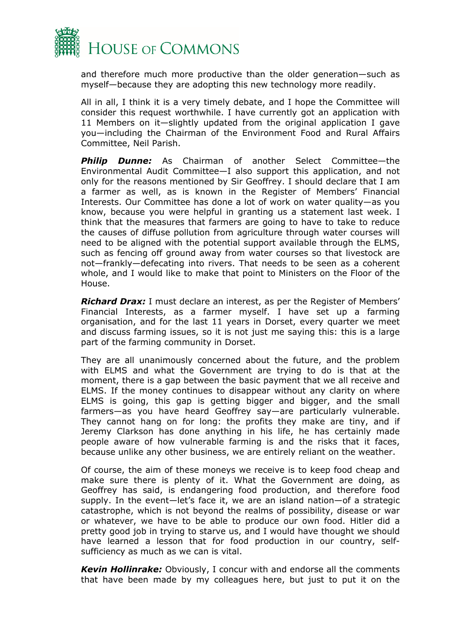

and therefore much more productive than the older generation—such as myself—because they are adopting this new technology more readily.

All in all, I think it is a very timely debate, and I hope the Committee will consider this request worthwhile. I have currently got an application with 11 Members on it—slightly updated from the original application I gave you—including the Chairman of the Environment Food and Rural Affairs Committee, Neil Parish.

*Philip Dunne:* As Chairman of another Select Committee—the Environmental Audit Committee—I also support this application, and not only for the reasons mentioned by Sir Geoffrey. I should declare that I am a farmer as well, as is known in the Register of Members' Financial Interests. Our Committee has done a lot of work on water quality—as you know, because you were helpful in granting us a statement last week. I think that the measures that farmers are going to have to take to reduce the causes of diffuse pollution from agriculture through water courses will need to be aligned with the potential support available through the ELMS, such as fencing off ground away from water courses so that livestock are not—frankly—defecating into rivers. That needs to be seen as a coherent whole, and I would like to make that point to Ministers on the Floor of the House.

*Richard Drax:* I must declare an interest, as per the Register of Members' Financial Interests, as a farmer myself. I have set up a farming organisation, and for the last 11 years in Dorset, every quarter we meet and discuss farming issues, so it is not just me saying this: this is a large part of the farming community in Dorset.

They are all unanimously concerned about the future, and the problem with ELMS and what the Government are trying to do is that at the moment, there is a gap between the basic payment that we all receive and ELMS. If the money continues to disappear without any clarity on where ELMS is going, this gap is getting bigger and bigger, and the small farmers—as you have heard Geoffrey say—are particularly vulnerable. They cannot hang on for long: the profits they make are tiny, and if Jeremy Clarkson has done anything in his life, he has certainly made people aware of how vulnerable farming is and the risks that it faces, because unlike any other business, we are entirely reliant on the weather.

Of course, the aim of these moneys we receive is to keep food cheap and make sure there is plenty of it. What the Government are doing, as Geoffrey has said, is endangering food production, and therefore food supply. In the event—let's face it, we are an island nation—of a strategic catastrophe, which is not beyond the realms of possibility, disease or war or whatever, we have to be able to produce our own food. Hitler did a pretty good job in trying to starve us, and I would have thought we should have learned a lesson that for food production in our country, selfsufficiency as much as we can is vital.

*Kevin Hollinrake:* Obviously, I concur with and endorse all the comments that have been made by my colleagues here, but just to put it on the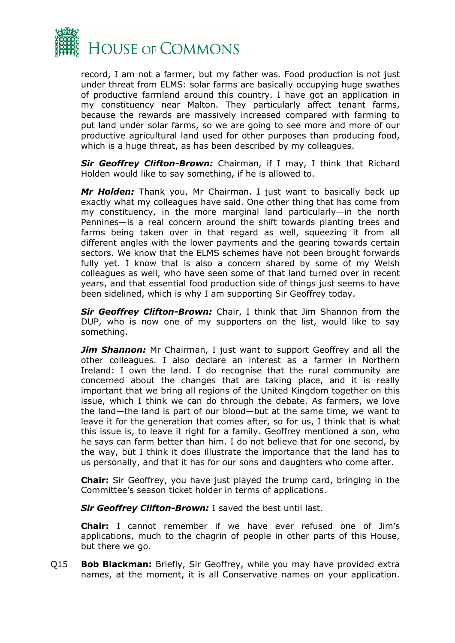

record, I am not a farmer, but my father was. Food production is not just under threat from ELMS: solar farms are basically occupying huge swathes of productive farmland around this country. I have got an application in my constituency near Malton. They particularly affect tenant farms, because the rewards are massively increased compared with farming to put land under solar farms, so we are going to see more and more of our productive agricultural land used for other purposes than producing food, which is a huge threat, as has been described by my colleagues.

*Sir Geoffrey Clifton-Brown:* Chairman, if I may, I think that Richard Holden would like to say something, if he is allowed to.

*Mr Holden:* Thank you, Mr Chairman. I just want to basically back up exactly what my colleagues have said. One other thing that has come from my constituency, in the more marginal land particularly—in the north Pennines—is a real concern around the shift towards planting trees and farms being taken over in that regard as well, squeezing it from all different angles with the lower payments and the gearing towards certain sectors. We know that the ELMS schemes have not been brought forwards fully yet. I know that is also a concern shared by some of my Welsh colleagues as well, who have seen some of that land turned over in recent years, and that essential food production side of things just seems to have been sidelined, which is why I am supporting Sir Geoffrey today.

*Sir Geoffrey Clifton-Brown:* Chair, I think that Jim Shannon from the DUP, who is now one of my supporters on the list, would like to say something.

*Jim Shannon:* Mr Chairman, I just want to support Geoffrey and all the other colleagues. I also declare an interest as a farmer in Northern Ireland: I own the land. I do recognise that the rural community are concerned about the changes that are taking place, and it is really important that we bring all regions of the United Kingdom together on this issue, which I think we can do through the debate. As farmers, we love the land—the land is part of our blood—but at the same time, we want to leave it for the generation that comes after, so for us, I think that is what this issue is, to leave it right for a family. Geoffrey mentioned a son, who he says can farm better than him. I do not believe that for one second, by the way, but I think it does illustrate the importance that the land has to us personally, and that it has for our sons and daughters who come after.

**Chair:** Sir Geoffrey, you have just played the trump card, bringing in the Committee's season ticket holder in terms of applications.

*Sir Geoffrey Clifton-Brown:* I saved the best until last.

**Chair:** I cannot remember if we have ever refused one of Jim's applications, much to the chagrin of people in other parts of this House, but there we go.

Q15 **Bob Blackman:** Briefly, Sir Geoffrey, while you may have provided extra names, at the moment, it is all Conservative names on your application.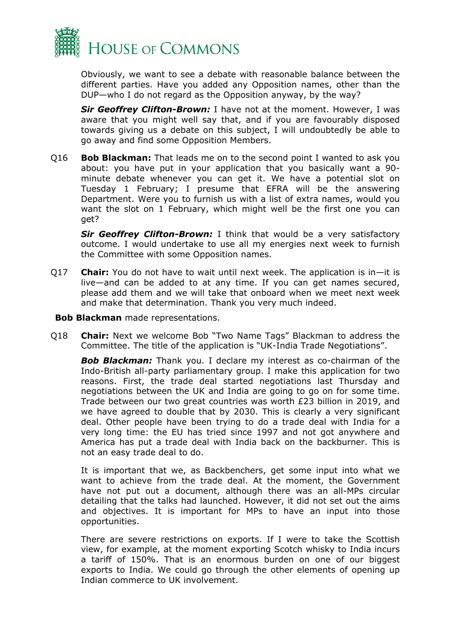

Obviously, we want to see a debate with reasonable balance between the different parties. Have you added any Opposition names, other than the DUP—who I do not regard as the Opposition anyway, by the way?

*Sir Geoffrey Clifton-Brown:* I have not at the moment. However, I was aware that you might well say that, and if you are favourably disposed towards giving us a debate on this subject, I will undoubtedly be able to go away and find some Opposition Members.

Q16 **Bob Blackman:** That leads me on to the second point I wanted to ask you about: you have put in your application that you basically want a 90 minute debate whenever you can get it. We have a potential slot on Tuesday 1 February; I presume that EFRA will be the answering Department. Were you to furnish us with a list of extra names, would you want the slot on 1 February, which might well be the first one you can get?

*Sir Geoffrey Clifton-Brown:* I think that would be a very satisfactory outcome. I would undertake to use all my energies next week to furnish the Committee with some Opposition names.

- Q17 **Chair:** You do not have to wait until next week. The application is in—it is live—and can be added to at any time. If you can get names secured, please add them and we will take that onboard when we meet next week and make that determination. Thank you very much indeed.
- <span id="page-8-0"></span>**Bob Blackman** made representations.
- Q18 **Chair:** Next we welcome Bob "Two Name Tags" Blackman to address the Committee. The title of the application is "UK-India Trade Negotiations".

*Bob Blackman:* Thank you. I declare my interest as co-chairman of the Indo-British all-party parliamentary group. I make this application for two reasons. First, the trade deal started negotiations last Thursday and negotiations between the UK and India are going to go on for some time. Trade between our two great countries was worth £23 billion in 2019, and we have agreed to double that by 2030. This is clearly a very significant deal. Other people have been trying to do a trade deal with India for a very long time: the EU has tried since 1997 and not got anywhere and America has put a trade deal with India back on the backburner. This is not an easy trade deal to do.

It is important that we, as Backbenchers, get some input into what we want to achieve from the trade deal. At the moment, the Government have not put out a document, although there was an all-MPs circular detailing that the talks had launched. However, it did not set out the aims and objectives. It is important for MPs to have an input into those opportunities.

There are severe restrictions on exports. If I were to take the Scottish view, for example, at the moment exporting Scotch whisky to India incurs a tariff of 150%. That is an enormous burden on one of our biggest exports to India. We could go through the other elements of opening up Indian commerce to UK involvement.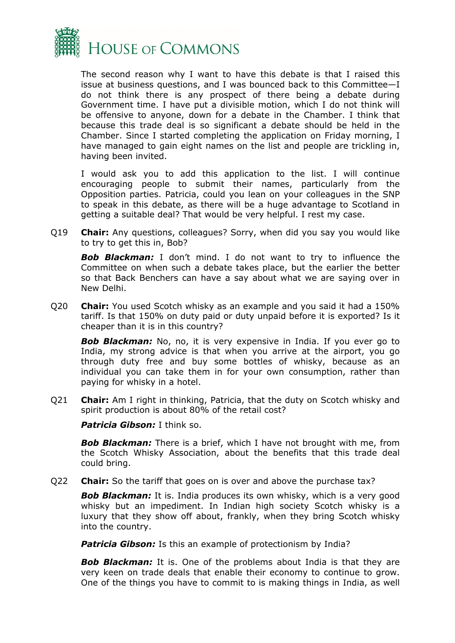

The second reason why I want to have this debate is that I raised this issue at business questions, and I was bounced back to this Committee—I do not think there is any prospect of there being a debate during Government time. I have put a divisible motion, which I do not think will be offensive to anyone, down for a debate in the Chamber. I think that because this trade deal is so significant a debate should be held in the Chamber. Since I started completing the application on Friday morning, I have managed to gain eight names on the list and people are trickling in, having been invited.

I would ask you to add this application to the list. I will continue encouraging people to submit their names, particularly from the Opposition parties. Patricia, could you lean on your colleagues in the SNP to speak in this debate, as there will be a huge advantage to Scotland in getting a suitable deal? That would be very helpful. I rest my case.

Q19 **Chair:** Any questions, colleagues? Sorry, when did you say you would like to try to get this in, Bob?

**Bob Blackman:** I don't mind. I do not want to try to influence the Committee on when such a debate takes place, but the earlier the better so that Back Benchers can have a say about what we are saying over in New Delhi.

Q20 **Chair:** You used Scotch whisky as an example and you said it had a 150% tariff. Is that 150% on duty paid or duty unpaid before it is exported? Is it cheaper than it is in this country?

**Bob Blackman:** No, no, it is very expensive in India. If you ever go to India, my strong advice is that when you arrive at the airport, you go through duty free and buy some bottles of whisky, because as an individual you can take them in for your own consumption, rather than paying for whisky in a hotel.

Q21 **Chair:** Am I right in thinking, Patricia, that the duty on Scotch whisky and spirit production is about 80% of the retail cost?

*Patricia Gibson:* I think so.

*Bob Blackman:* There is a brief, which I have not brought with me, from the Scotch Whisky Association, about the benefits that this trade deal could bring.

Q22 **Chair:** So the tariff that goes on is over and above the purchase tax?

**Bob Blackman:** It is. India produces its own whisky, which is a very good whisky but an impediment. In Indian high society Scotch whisky is a luxury that they show off about, frankly, when they bring Scotch whisky into the country.

**Patricia Gibson:** Is this an example of protectionism by India?

**Bob Blackman:** It is. One of the problems about India is that they are very keen on trade deals that enable their economy to continue to grow. One of the things you have to commit to is making things in India, as well